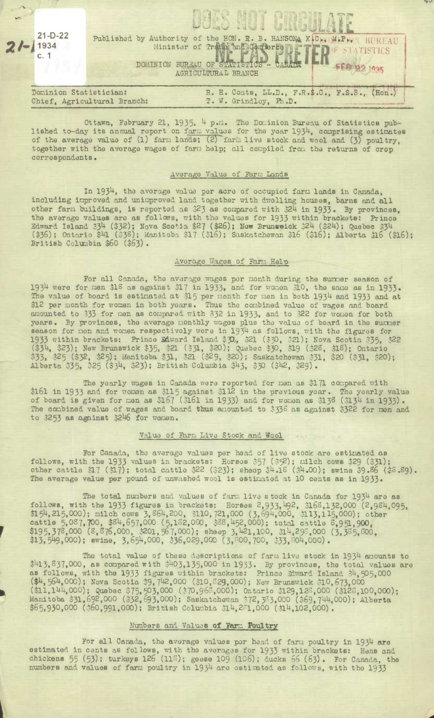| $21 - D - 22$<br>$\overline{\mathbf{2}}$<br>1934 | Published by Authority of the HON. R. B. HANSONA K.C. M.P. SURFAU<br>Minister of Trath and Corperte of TTDH STATISTICS<br>DOMINION BUREAU OF STATISTICS - CANA<br>1035<br>AGRICULTURAL BRANCH |
|--------------------------------------------------|-----------------------------------------------------------------------------------------------------------------------------------------------------------------------------------------------|
| Dominion Statistician:                           | R. H. Coats, LL.D., F.R.S.C., F.S.S., (Hon.)<br>T. W. Grindley, Ph.D.<br>Chief, Agricultural Branch:                                                                                          |

**URING MOTOR ATT** 

,v.w

Ottawa, February 21, 1935, 4 p.m. The Dominion Bureau of Statistics published to-day its annual report on farm values for the year 1934, comprising estimates of the average value of (1) farm lands; (2) farm live stock and wool and (3) poultry, together with the average wages of farm help; all compiled from the returns of crop correspondents.

## Average Value of Farm Lands

In 1934, the average value per acre of occupied farm lands in Canada, including improved and unimproved land together with dwelling houses, barns and all other farm buildings, is reported as \$23 as compared with \$24 in 1933. By provinces, the average values are as follows, with the values for 1933 within brackets: Prince Edward. Island 334 (\$32); Nova Scotia \$27 (\$26); Now Brunsick \$214 (324); Quebec 3314 (\$36); Ontario \$141 (\$38); Manitoba \$17 (\$16); Saskatchewan \$16 (\$16); Alberta *\$16* (\$16); British Columbia \$60 (\$63).

## Average Wages of Farm Help

For all Canada, the average wages per month during the summer season of 19314 were for men \$18 as against \$17 in 1933, and for women 310, the same as in **1933-**  The value of board is estimated at \$15 per month for men in both 1934 and 1933 and at \$12 per month for women in both years. Thus the combined value of wages and board amounted to  $33$  for men as compared with  $332$  in 1933, and to  $322$  for women for both years. By provinces, the average monthly wages plus the value of board in the summer season for men and women respectively were in 1934 as follows, with the figures for 1933 within brackets: Prince Rdward Island  $$3, $21 ($30, $21$);$  Nova Scotia  $$35, $22$ (\$314, \$23); New Brunswick \$35, \$21 (331, \$20); Quebec \$30, \$19 (\$28, \$18); Ontario  $$33, $25 ($32, $25);$  Manitoba  $$31, $21 ($29, $20);$  Saskatchewan  $$31, $20 ($31, $20);$ Alberta \$35, \$25 (\$314, \$23); British Columbia \$143, \$30 (\$)42, 329).

The yearly wages in Canada were reported for men as \$171 compared with \$161 in 1933 and for women as \$115 against \$112 in the previous year. The yearly value of board is given for men as  $$167$  ( $$161$  in 1933) and for women as  $$138$  ( $$134$  in 1933). The combined value of wages and board thus amounted to \$336 as against \$322 for men and to \$253 **as** against \$2146 for women.

## Value of Farm Live Stock and Woo].

For Canada, the average values per head of live stock are estimated as follows, with the 1933 values in brackets: Horses  $557$  ( $552$ ); milch cows \$29 (\$31);<br>other cattle \$17 (\$17); total cattle \$22 (323); sheep \$4.18 (\$4.00); swine \$9.86 (\$6.89). The average value per pound of unwashed wool is estimated at 10 cents as in 1933.

The total numbers and values of farm live stock in Canada for 1934 are as follows, with the 1933 figures in brackets: Horses  $2,933,192,3168,132,000$  (2,984,095, \$15)4,215,000); mUch cows 3,8614,200, 3110,721,000 (3,6914,000, \$113,115,000); other cattle 5,087,700, \$84,657,000 (5,182,000, \$88,452,000); total cattle 8,951,900,  $$195,378,000 (8,875,000, $201,567,000);$  sheep 3,421,100,  $$14,295,000 (3,355,800,$  $$13,549,000$ ; swine, 3,654,000, \$36,029,000 (3,800,700, \$33,804,000).

The total value of these descriptions of farm live stock in 19314 amounts to  $$413,837,000$ , as compared with  $$403,135,000$  in 1933. By provinces, the total values are as follows, with the 1933 figures within brackets: Prince Edward Island \$4,505,000  $(\$4, 564, 000)$ ; Nova Scotia \$9,742,000 (\$10,829,000); New Brunswick \$10,673,000 (\$11,1414,000); Quebec \$75,503,000 (\$70,966,000); Ontario \$129,126,000 (\$128,100,000); Manitoba \$31,692,000 (\$32,693,000); Saskatchewan \$72,363,000 (\$69,744,000); Alberta \$65,930 , 000 (\$60,991,000); British Columbia \$114,261,000 (\$114,102,000).

## Numbers and Values of Farm Poultry

For all Canada, the average values per head of farm poultry in 1934 are estimated in cents as follows, with the averages for 1933 within brackets: Hens and chickens 55 (53); turkeys 126 (116); geese 109 (106); ducks 66 (63). For Canada, the numbers and values of farm poultry in  $1934$  are estimated as follows, with the  $1933$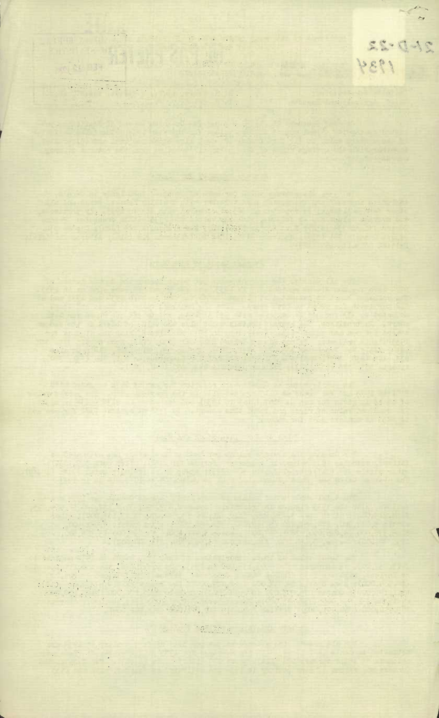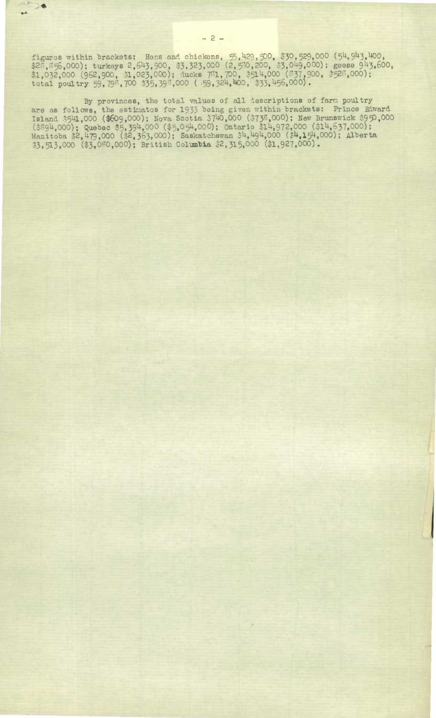figures within brackets: Hens and chickens, 55,429,500, 330,529,000 (54,943,400, \$28,856,000); turkeys 2,643,900, \$3,323,000 (2,550,200, \$3,049,000); geese 943,600, \$1,023,000); ducks 731,700, \$514,000 (337,900, \$528,000)

By provinces, the total values of all descriptions of farm poultry<br>are as follows, the estimates for 1933 being given within brackets: Prince Edward<br>Island 5541,000 (\$609,000); Nova Scotia 5740,000 (\$738,000); New Brunswi

 $\frac{1}{2}$